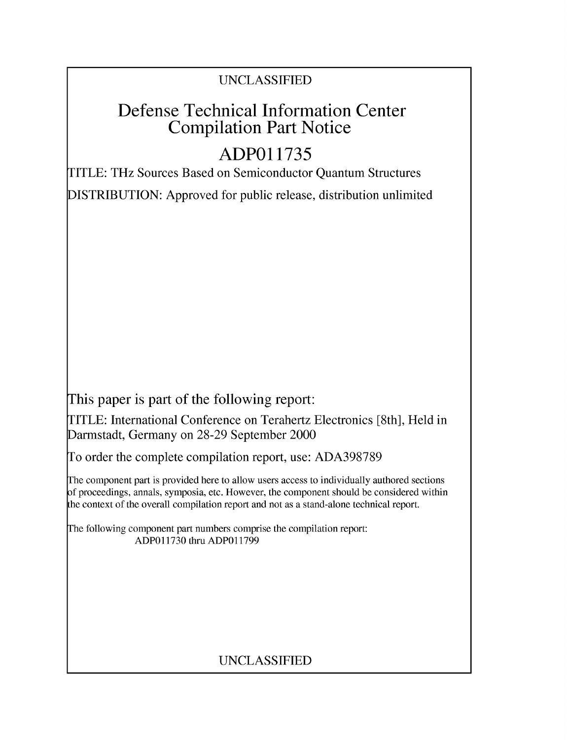### UNCLASSIFIED

## Defense Technical Information Center Compilation Part Notice

## **ADPO1 1735**

TITLE: THz Sources Based on Semiconductor Quantum Structures

DISTRIBUTION: Approved for public release, distribution unlimited

This paper is part of the following report:

TITLE: International Conference on Terahertz Electronics [8th], Held in Darmstadt, Germany on 28-29 September 2000

To order the complete compilation report, use: ADA398789

The component part is provided here to allow users access to individually authored sections f proceedings, annals, symposia, etc. However, the component should be considered within [he context of the overall compilation report and not as a stand-alone technical report.

The following component part numbers comprise the compilation report: ADPO11730 thru ADP011799

### UNCLASSIFIED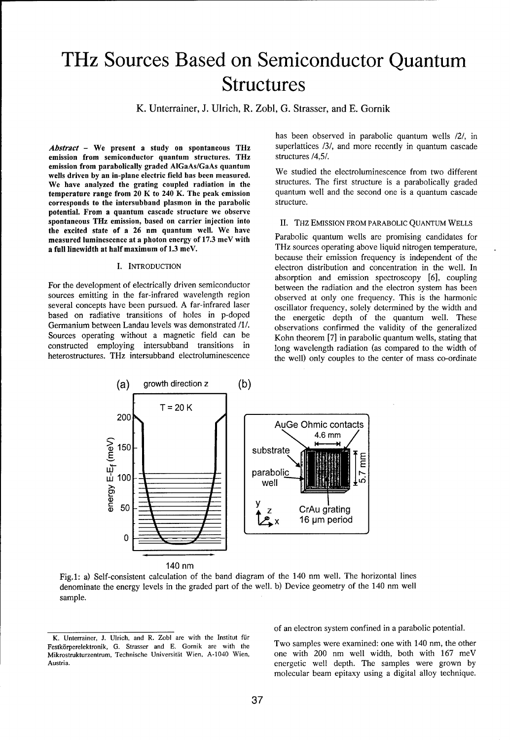# THz Sources Based on Semiconductor Quantum **Structures**

K. Unterrainer, J. Ulrich, R. Zobl, G. Strasser, and E. Gornik

emission from semiconductor quantum structures. THz emission from parabolically graded AIGaAs/GaAs quantum<br>we studied the electroluminescence from two different wells driven by an in-plane electric field has been measured. We have analyzed the grating coupled radiation in the structures. The first structure is a parabolically graded<br>temperature range from 20 K to 240 K. The peak emission quantum well and the second one is a quantum cascade temperature range from 20 K to 240 K. The peak emission quantum corresponds to the intersubband plasmon in the parabolic structure. corresponds to the intersubband plasmon in the parabolic potential. From a quantum cascade structure we observe spontaneous THz emission, based on carrier injection into II. THZ EMISSION FROM PARABOLIC QUANTUM WELLS the excited state of a **26** nm quantum well. We have measured luminescence at a photon energy of 17.3 meV with Parabolic quantum wells are promising candidates for

sources emitting in the far-infrared wavelength region observed at only one frequency. This is the harmonic<br>several concepts have been pursued. A far-infrared laser oscillator frequency solely determined by the width and based on radiative transitions of holes in p-doped the energetic depth of the quantum well. These Germanium between Landau levels was demonstrated /1/. observations confirmed the validity of the generalized Sources operating without a magnetic field can be Kohn theorem [7] in parabolic quantum wells, stating that constructed employing intersubband transitions in long wavelength radiation (as compared to the width of

has been observed in parabolic quantum wells /2/, in *Abstract* – We present a study on spontaneous THz superlattices /3/, and more recently in quantum cascade emission from semiconductor quantum structures. THz structures /4.5/.

a full linewidth at half maximum of 1.3 meV. THz sources operating above liquid nitrogen temperature, because their emission frequency is independent of the I. INTRODUCTION electron distribution and concentration in the well. In absorption and emission spectroscopy [6], coupling For the development of electrically driven semiconductor<br>sources emitting in the far-infrared wavelength region<br>observed at only one frequency. This is the harmonic oscillator frequency, solely determined by the width and heterostructures. THz intersubband electroluminescence the well) only couples to the center of mass co-ordinate



Fig.l: a) Self-consistent calculation of the band diagram of the 140 nm well. The horizontal lines denominate the energy levels in the graded part of the well. b) Device geometry of the 140 nm well sample.

of an electron system confined in a parabolic potential.

Austria. energetic well depth. The samples were grown by molecular beam epitaxy using a digital alloy technique.

K. Unterrainer, J. Ulrich, and R. Zobl are with the Institut für Festkörperelektronik, G. Strasser and E. Gomik are with the Two samples were examined: one with 140 nm, the other<br>Festkörperelektronik, G. Strasser and E. Gomik are with the Two samples were examined: one with 160 nm, the Mikrostrukturzentrum, Technische Universität Wien, A-1040 Wien,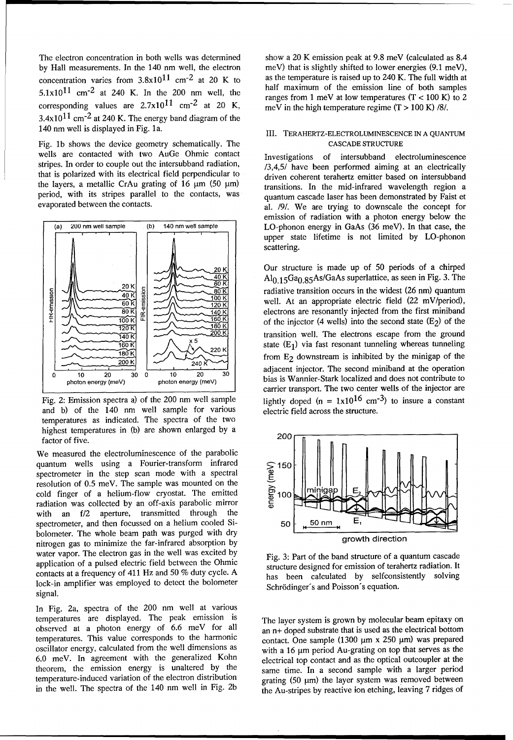The electron concentration in both wells was determined show a 20 K emission peak at 9.8 meV (calculated as 8.4 by Hall measurements. In the 140 nm well, the electron meV) that is slightly shifted to lower energies  $(9.1 \$ by Hall measurements. In the 140 nm well, the electron meV) that is slightly shifted to lower energies (9.1 meV), concentration varies from 3.8x10<sup>11</sup> cm<sup>-2</sup> at 20 K to as the temperature is raised up to 240 K. The full w concentration varies from  $3.8 \times 10^{11}$  cm<sup>-2</sup> at 20 K to as the temperature is raised up to 240 K. The full width at half maximum of the emission line of both samples  $5.1x10^{11}$  cm<sup>-2</sup> at 240 K. In the 200 nm well, the corresponding values are  $2.7 \times 10^{11}$  cm<sup>-2</sup> at 20 K, meV in the high temperature regime (T > 100 K) /8/.  $3.4x10^{11}$  cm<sup>-2</sup> at 240 K. The energy band diagram of the 140 nm well is displayed in Fig. 1a.  $III.$  TERAHERTZ-ELECTROLUMINESCENCE IN A QUANTUM

Fig. 1b shows the device geometry schematically. The CASCADE STRUCTURE wells are contacted with two AuGe Ohmic contact Investigations of intersubband electroluminescence stripes. In order to couple out the intersubband radiation,  $\frac{13,4,5}{\sqrt{34}}$  have been performed aiming at an electrically that is polarized with its electrical field perpendicular to driven coherent terahertz emitter based on intersubband the layers, a metallic CrAu grating of 16  $\mu$ m (50  $\mu$ m) period, with its stripes parallel to the contacts, was quantum cascade laser has been demonstrated by Faist et



and b) of the 140 nm well sample for various electric field across the structure. temperatures as indicated. The spectra of the two highest temperatures in (b) are shown enlarged by a factor of five.

We measured the electroluminescence of the parabolic quantum wells using a Fourier-transform infrared<br>spectrometer in the step scan mode with a spectral<br>resolution of 0.5 meV. The sample was mounted on the<br>cold finger of a helium-flow cryostat. The emitted<br>radiation was coll spectrometer in the step scan mode with a spectral resolution of 0.5 meV. The sample was mounted on the cold finger of a helium-flow cryostat. The emitted  $\frac{50}{9}$  100 radiation was collected by an off-axis parabolic mirror with an  $f/2$  aperture, transmitted through the  $\begin{bmatrix} 1 & 2 \\ 3 & 50 \end{bmatrix}$ spectrometer, and then focussed on a helium cooled Si $50 \mid .50 \text{ nm}$ bolometer. The whole beam path was purged with dry nitrogen gas to minimize the far-infrared absorption by growth direction water vapor. The electron gas in the well was excited by Fig. 3: Part of the band structure of a quantum cascade application of a pulsed electric field between the Ohmic structure designed for emission of terahertz radiation. It contacts at a frequency of 411 Hz and 50 % duty cycle. A has been calculated by selfconsistently solving lock-in amplifier was employed to detect the bolometer Schrödinger's and Poisson's equation. signal.

In Fig. 2a, spectra of the 200 nm well at various temperatures are displayed. The peak emission is The layer system is grown by molecular beam epitaxy on observed at a photon energy of 6.6 meV for all an n+ doped substrate that is used as the electrical bottom temperatures. This value corresponds to the harmonic contact. One sample  $(1300 \mu m \times 250 \mu m)$  was prepared oscillator energy, calculated from the well dimensions as with a 16  $\mu$ m period Au-grating on top that serves as the 6.0 meV. In agreement with the generalized Kohn electrical top contact and as the optical outcoupler at the theorem, the emission energy is unaltered by the same time. In a second sample with a larger period temperature-induced variation of the electron distribution grating  $(50 \text{ }\mu\text{m})$  the layer system was removed between

ranges from 1 meV at low temperatures  $(T < 100 K)$  to 2

transitions. In the mid-infrared wavelength region a evaporated between the contacts.<br>al. /9/. We are trying to downscale the concept for emission of radiation with a photon energy below the (a) 200 nm well sample **(b)** 140 nm well sample LO-phonon energy in GaAs **(36** meV). In that case, the upper state lifetime is not limited by LO-phonon scattering.

Our structure is made up of 50 periods of a chirped  $\overline{40K}$  Al<sub>0.15</sub>Ga<sub>0</sub> 85As/GaAs superlattice, as seen in Fig. 3. The **20 K a** 60 K **radiative transition occurs in the widest** (26 nm) quantum<br> **40 K A**  $\overline{40 \text{ K}}$  **a**  $\overline{100 \text{ K}}$  **a 100 K a 100 K a 100 A 1 a** appropriate electric field (22 mV/period) **140 K**<br> **80 K**<br> **14 <b>K**<br> **14 <b>K**<br> **14 K**<br> **14 K**<br> **14 K**<br> **14 K**<br> **14 K**<br> **14 K**<br> **14 K**<br> **14 K**<br> **14 K**<br> **14 C**<br> **14 C**<br> **14** <br> **14** <br> **14** <br> **14** <br> **14** <br> **14** <br> **14** <br> **14** <br> **14** <br> **14** <br> **14** <br>  $\overline{100}$  K  $\overline{10}$   $\overline{100}$  K  $\overline{100}$  K  $\overline{100}$  K  $\overline{100}$  K  $\overline{100}$  K  $\overline{100}$  K  $\overline{100}$  K  $\overline{100}$  K  $\overline{100}$  K  $\overline{100}$  K  $\overline{100}$  K  $\overline{100}$  K  $\overline{100}$  K  $\overline{100}$  K  $\overline{100}$  K  $\over$ 140 K **200 K transition well.** The electrons escape from the ground **160 K**  $\left|\left|\left|\left|\left|\left|\right|\right|\right|\right|\right|$  state  $(E_1)$  via fast resonant tunneling whereas tunneling  $\left|E_2\right|$  and  $E_3$  form  $E_4$  devents and is inhibited by the minima of the from E<sub>2</sub> downstream is inhibited by the minigap of the adjacent injector. The second miniband at the operation  $\frac{200 \text{ K}}{10}$   $\frac{240 \text{ K}}{20}$   $\frac{240 \text{ K}}{20}$   $\frac{240 \text{ K}}{30}$   $\frac{240 \text{ K}}{30}$   $\frac{240 \text{ K}}{30}$   $p_{\text{photon energy (meV)}}$  bias is Wannier-Stark localized and does not contribute to carrier transport. The two center wells of the injector are Fig. 2: Emission spectra a) of the 200 nm well sample lightly doped (n =  $1x10^{16}$  cm<sup>-3</sup>) to insure a constant



in the well. The spectra of the  $140$  nm well in Fig. 2b the Au-stripes by reactive ion etching, leaving 7 ridges of